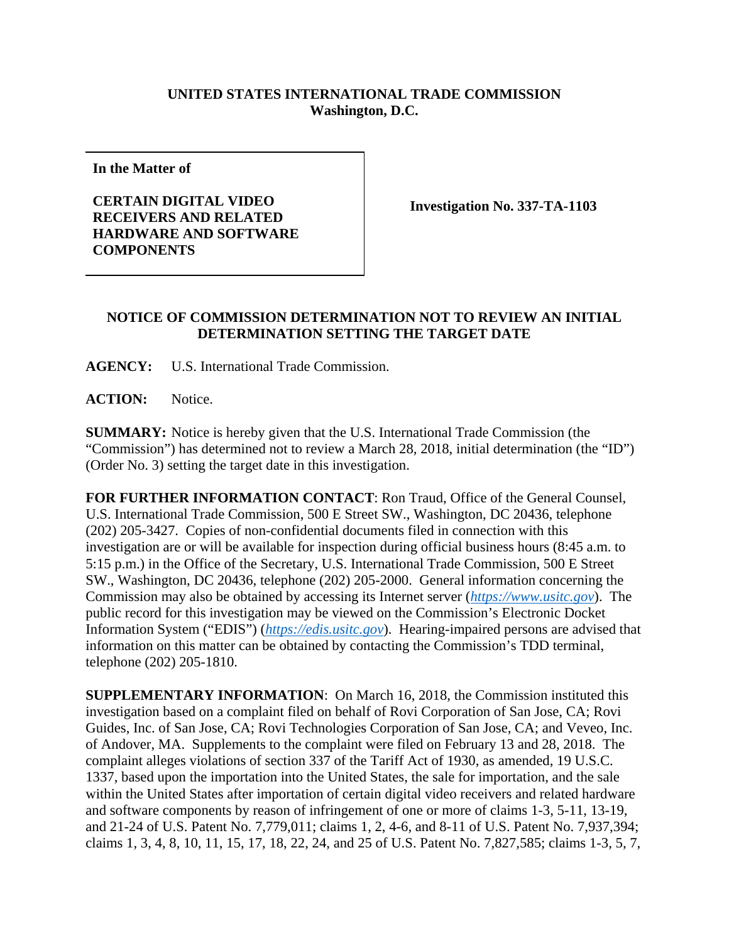## **UNITED STATES INTERNATIONAL TRADE COMMISSION Washington, D.C.**

**In the Matter of** 

**CERTAIN DIGITAL VIDEO RECEIVERS AND RELATED HARDWARE AND SOFTWARE COMPONENTS** 

**Investigation No. 337-TA-1103** 

## **NOTICE OF COMMISSION DETERMINATION NOT TO REVIEW AN INITIAL DETERMINATION SETTING THE TARGET DATE**

**AGENCY:** U.S. International Trade Commission.

ACTION: Notice.

**SUMMARY:** Notice is hereby given that the U.S. International Trade Commission (the "Commission") has determined not to review a March 28, 2018, initial determination (the "ID") (Order No. 3) setting the target date in this investigation.

**FOR FURTHER INFORMATION CONTACT**: Ron Traud, Office of the General Counsel, U.S. International Trade Commission, 500 E Street SW., Washington, DC 20436, telephone (202) 205-3427. Copies of non-confidential documents filed in connection with this investigation are or will be available for inspection during official business hours (8:45 a.m. to 5:15 p.m.) in the Office of the Secretary, U.S. International Trade Commission, 500 E Street SW., Washington, DC 20436, telephone (202) 205-2000. General information concerning the Commission may also be obtained by accessing its Internet server (*https://www.usitc.gov*). The public record for this investigation may be viewed on the Commission's Electronic Docket Information System ("EDIS") (*https://edis.usitc.gov*). Hearing-impaired persons are advised that information on this matter can be obtained by contacting the Commission's TDD terminal, telephone (202) 205-1810.

**SUPPLEMENTARY INFORMATION**: On March 16, 2018, the Commission instituted this investigation based on a complaint filed on behalf of Rovi Corporation of San Jose, CA; Rovi Guides, Inc. of San Jose, CA; Rovi Technologies Corporation of San Jose, CA; and Veveo, Inc. of Andover, MA. Supplements to the complaint were filed on February 13 and 28, 2018. The complaint alleges violations of section 337 of the Tariff Act of 1930, as amended, 19 U.S.C. 1337, based upon the importation into the United States, the sale for importation, and the sale within the United States after importation of certain digital video receivers and related hardware and software components by reason of infringement of one or more of claims 1-3, 5-11, 13-19, and 21-24 of U.S. Patent No. 7,779,011; claims 1, 2, 4-6, and 8-11 of U.S. Patent No. 7,937,394; claims 1, 3, 4, 8, 10, 11, 15, 17, 18, 22, 24, and 25 of U.S. Patent No. 7,827,585; claims 1-3, 5, 7,